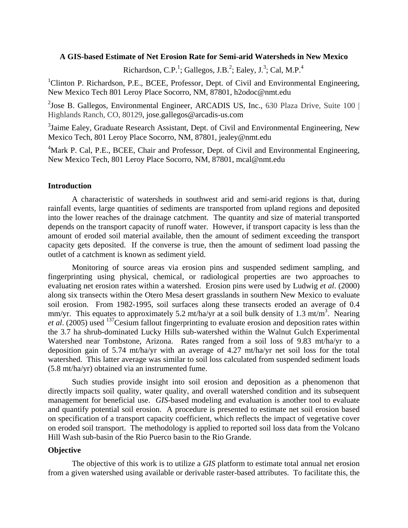# **A GIS-based Estimate of Net Erosion Rate for Semi-arid Watersheds in New Mexico**

Richardson, C.P.<sup>1</sup>; Gallegos, J.B.<sup>2</sup>; Ealey, J.<sup>3</sup>; Cal, M.P.<sup>4</sup>

<sup>1</sup>Clinton P. Richardson, P.E., BCEE, Professor, Dept. of Civil and Environmental Engineering, New Mexico Tech 801 Leroy Place Socorro, NM, 87801, h2odoc@nmt.edu

 $2^2$ Jose B. Gallegos, Environmental Engineer, ARCADIS US, Inc., 630 Plaza Drive, Suite 100 | Highlands Ranch, CO, 80129, jose.gallegos@arcadis-us.com

<sup>3</sup>Jaime Ealey, Graduate Research Assistant, Dept. of Civil and Environmental Engineering, New Mexico Tech, 801 Leroy Place Socorro, NM, 87801, jealey@nmt.edu

<sup>4</sup>Mark P. Cal, P.E., BCEE, Chair and Professor, Dept. of Civil and Environmental Engineering, New Mexico Tech, 801 Leroy Place Socorro, NM, 87801, mcal@nmt.edu

### **Introduction**

A characteristic of watersheds in southwest arid and semi-arid regions is that, during rainfall events, large quantities of sediments are transported from upland regions and deposited into the lower reaches of the drainage catchment. The quantity and size of material transported depends on the transport capacity of runoff water. However, if transport capacity is less than the amount of eroded soil material available, then the amount of sediment exceeding the transport capacity gets deposited. If the converse is true, then the amount of sediment load passing the outlet of a catchment is known as sediment yield.

Monitoring of source areas via erosion pins and suspended sediment sampling, and fingerprinting using physical, chemical, or radiological properties are two approaches to evaluating net erosion rates within a watershed. Erosion pins were used by Ludwig *et al*. (2000) along six transects within the Otero Mesa desert grasslands in southern New Mexico to evaluate soil erosion. From 1982-1995, soil surfaces along these transects eroded an average of 0.4 mm/yr. This equates to approximately 5.2 mt/ha/yr at a soil bulk density of 1.3 mt/m<sup>3</sup>. Nearing *et al.* (2005) used <sup>137</sup>Cesium fallout fingerprinting to evaluate erosion and deposition rates within the 3.7 ha shrub-dominated Lucky Hills sub-watershed within the Walnut Gulch Experimental Watershed near Tombstone, Arizona. Rates ranged from a soil loss of 9.83 mt/ha/yr to a deposition gain of 5.74 mt/ha/yr with an average of 4.27 mt/ha/yr net soil loss for the total watershed. This latter average was similar to soil loss calculated from suspended sediment loads (5.8 mt/ha/yr) obtained via an instrumented fume.

Such studies provide insight into soil erosion and deposition as a phenomenon that directly impacts soil quality, water quality, and overall watershed condition and its subsequent management for beneficial use. *GIS*-based modeling and evaluation is another tool to evaluate and quantify potential soil erosion. A procedure is presented to estimate net soil erosion based on specification of a transport capacity coefficient, which reflects the impact of vegetative cover on eroded soil transport. The methodology is applied to reported soil loss data from the Volcano Hill Wash sub-basin of the Rio Puerco basin to the Rio Grande.

# **Objective**

The objective of this work is to utilize a *GIS* platform to estimate total annual net erosion from a given watershed using available or derivable raster-based attributes. To facilitate this, the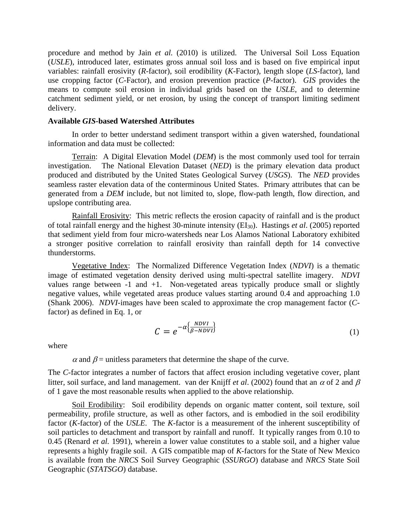procedure and method by Jain *et al.* (2010) is utilized. The Universal Soil Loss Equation (*USLE*), introduced later, estimates gross annual soil loss and is based on five empirical input variables: rainfall erosivity (*R*-factor), soil erodibility (*K*-Factor), length slope (*LS*-factor), land use cropping factor (*C*-Factor), and erosion prevention practice (*P*-factor). *GIS* provides the means to compute soil erosion in individual grids based on the *USLE*, and to determine catchment sediment yield, or net erosion, by using the concept of transport limiting sediment delivery.

#### **Available** *GIS***-based Watershed Attributes**

In order to better understand sediment transport within a given watershed, foundational information and data must be collected:

Terrain: A Digital Elevation Model (*DEM*) is the most commonly used tool for terrain investigation. The National Elevation Dataset (*NED*) is the primary elevation data product produced and distributed by the United States Geological Survey (*USGS*). The *NED* provides seamless raster elevation data of the conterminous United States. Primary attributes that can be generated from a *DEM* include, but not limited to, slope, flow-path length, flow direction, and upslope contributing area.

Rainfall Erosivity: This metric reflects the erosion capacity of rainfall and is the product of total rainfall energy and the highest 30-minute intensity (EI30). Hastings *et al*. (2005) reported that sediment yield from four micro-watersheds near Los Alamos National Laboratory exhibited a stronger positive correlation to rainfall erosivity than rainfall depth for 14 convective thunderstorms.

Vegetative Index: The Normalized Difference Vegetation Index (*NDVI*) is a thematic image of estimated vegetation density derived using multi-spectral satellite imagery. *NDVI* values range between  $-1$  and  $+1$ . Non-vegetated areas typically produce small or slightly negative values, while vegetated areas produce values starting around 0.4 and approaching 1.0 (Shank 2006). *NDVI*-images have been scaled to approximate the crop management factor (*C*factor) as defined in Eq. 1, or

$$
C = e^{-\alpha \left\{\frac{NDVI}{\beta - NDVI}\right\}}\tag{1}
$$

where

 $\alpha$  and  $\beta$  = unitless parameters that determine the shape of the curve.

The *C*-factor integrates a number of factors that affect erosion including vegetative cover, plant litter, soil surface, and land management. van der Knijff *et al*. (2002) found that an <sup>α</sup> of 2 and β of 1 gave the most reasonable results when applied to the above relationship.

Soil Erodibility: Soil erodibility depends on organic matter content, soil texture, soil permeability, profile structure, as well as other factors, and is embodied in the soil erodibility factor (*K*-factor) of the *USLE*. The *K*-factor is a measurement of the inherent susceptibility of soil particles to detachment and transport by rainfall and runoff. It typically ranges from 0.10 to 0.45 (Renard *et al.* 1991), wherein a lower value constitutes to a stable soil, and a higher value represents a highly fragile soil. A GIS compatible map of *K*-factors for the State of New Mexico is available from the *NRCS* Soil Survey Geographic (*SSURGO*) database and *NRCS* State Soil Geographic (*STATSGO*) database.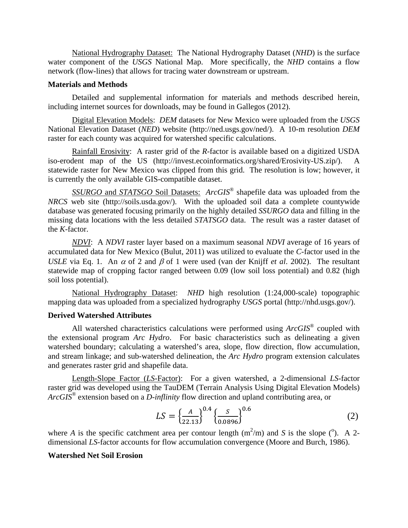National Hydrography Dataset: The National Hydrography Dataset (*NHD*) is the surface water component of the *USGS* National Map. More specifically, the *NHD* contains a flow network (flow-lines) that allows for tracing water downstream or upstream.

# **Materials and Methods**

Detailed and supplemental information for materials and methods described herein, including internet sources for downloads, may be found in Gallegos (2012).

Digital Elevation Models: *DEM* datasets for New Mexico were uploaded from the *USGS* National Elevation Dataset (*NED*) website (http://ned.usgs.gov/ned/). A 10-m resolution *DEM* raster for each county was acquired for watershed specific calculations.

Rainfall Erosivity: A raster grid of the *R*-factor is available based on a digitized USDA iso-erodent map of the US (http://invest.ecoinformatics.org/shared/Erosivity-US.zip/). A statewide raster for New Mexico was clipped from this grid. The resolution is low; however, it is currently the only available GIS-compatible dataset.

*SSURGO* and *STATSGO* Soil Datasets: *ArcGIS*® shapefile data was uploaded from the *NRCS* web site (http://soils.usda.gov/). With the uploaded soil data a complete countywide database was generated focusing primarily on the highly detailed *SSURGO* data and filling in the missing data locations with the less detailed *STATSGO* data. The result was a raster dataset of the *K*-factor.

*NDVI*: A *NDVI* raster layer based on a maximum seasonal *NDVI* average of 16 years of accumulated data for New Mexico (Bulut, 2011) was utilized to evaluate the *C*-factor used in the *USLE* via Eq. 1. An  $\alpha$  of 2 and  $\beta$  of 1 were used (van der Knijff *et al.* 2002). The resultant statewide map of cropping factor ranged between 0.09 (low soil loss potential) and 0.82 (high soil loss potential).

National Hydrography Dataset: *NHD* high resolution (1:24,000-scale) topographic mapping data was uploaded from a specialized hydrography *USGS* portal (http://nhd.usgs.gov/).

# **Derived Watershed Attributes**

All watershed characteristics calculations were performed using *ArcGIS*® coupled with the extensional program *Arc Hydro*. For basic characteristics such as delineating a given watershed boundary; calculating a watershed's area, slope, flow direction, flow accumulation, and stream linkage; and sub-watershed delineation, the *Arc Hydro* program extension calculates and generates raster grid and shapefile data.

Length-Slope Factor (*LS*-Factor): For a given watershed, a 2-dimensional *LS*-factor raster grid was developed using the TauDEM (Terrain Analysis Using Digital Elevation Models) *ArcGIS*® extension based on a *D-inflinity* flow direction and upland contributing area, or

$$
LS = \left\{ \frac{A}{22.13} \right\}^{0.4} \left\{ \frac{S}{0.0896} \right\}^{0.6}
$$
 (2)

where *A* is the specific catchment area per contour length  $(m^2/m)$  and *S* is the slope (<sup>o</sup>). A 2dimensional *LS*-factor accounts for flow accumulation convergence (Moore and Burch, 1986).

# **Watershed Net Soil Erosion**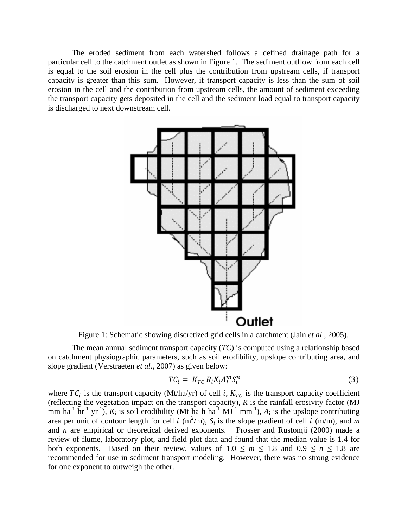The eroded sediment from each watershed follows a defined drainage path for a particular cell to the catchment outlet as shown in Figure 1. The sediment outflow from each cell is equal to the soil erosion in the cell plus the contribution from upstream cells, if transport capacity is greater than this sum. However, if transport capacity is less than the sum of soil erosion in the cell and the contribution from upstream cells, the amount of sediment exceeding the transport capacity gets deposited in the cell and the sediment load equal to transport capacity is discharged to next downstream cell.



Figure 1: Schematic showing discretized grid cells in a catchment (Jain *et al*., 2005).

The mean annual sediment transport capacity (*TC*) is computed using a relationship based on catchment physiographic parameters, such as soil erodibility, upslope contributing area, and slope gradient (Verstraeten *et al.*, 2007) as given below:

$$
TC_i = K_{TC} R_i K_i A_i^m S_i^n \tag{3}
$$

where  $TC_i$  is the transport capacity (Mt/ha/yr) of cell *i*,  $K_{TC}$  is the transport capacity coefficient (reflecting the vegetation impact on the transport capacity), *R* is the rainfall erosivity factor (MJ mm ha<sup>-1</sup> hr<sup>-1</sup> yr<sup>-1</sup>),  $K_i$  is soil erodibility (Mt ha h ha<sup>-1</sup> MJ<sup>-1</sup> mm<sup>-1</sup>),  $A_i$  is the upslope contributing area per unit of contour length for cell  $i \text{ (m}^2/\text{m})$ ,  $S_i$  is the slope gradient of cell  $i \text{ (m/m)}$ , and  $m$ and *n* are empirical or theoretical derived exponents. Prosser and Rustomji (2000) made a review of flume, laboratory plot, and field plot data and found that the median value is 1.4 for both exponents. Based on their review, values of  $1.0 \le m \le 1.8$  and  $0.9 \le n \le 1.8$  are recommended for use in sediment transport modeling. However, there was no strong evidence for one exponent to outweigh the other.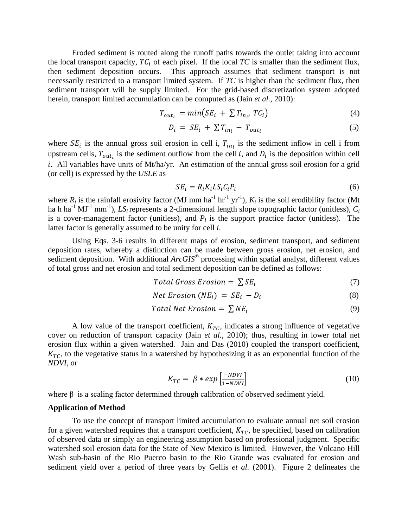Eroded sediment is routed along the runoff paths towards the outlet taking into account the local transport capacity,  $TC_i$  of each pixel. If the local  $TC$  is smaller than the sediment flux, then sediment deposition occurs. This approach assumes that sediment transport is not necessarily restricted to a transport limited system. If *TC* is higher than the sediment flux, then sediment transport will be supply limited. For the grid-based discretization system adopted herein, transport limited accumulation can be computed as (Jain *et al.*, 2010):

$$
T_{out_i} = min(SE_i + \sum T_{in_i}, TC_i)
$$
\n<sup>(4)</sup>

$$
D_i = SE_i + \sum T_{in_i} - T_{out_i} \tag{5}
$$

where  $SE_i$  is the annual gross soil erosion in cell i,  $T_{in_i}$  is the sediment inflow in cell i from upstream cells,  $T_{out_i}$  is the sediment outflow from the cell *i*, and  $D_i$  is the deposition within cell . All variables have units of Mt/ha/yr. An estimation of the annual gross soil erosion for a grid (or cell) is expressed by the *USLE* as

$$
SE_i = R_i K_i L S_i C_i P_i \tag{6}
$$

where  $R_i$  is the rainfall erosivity factor (MJ mm ha<sup>-1</sup> hr<sup>-1</sup> yr<sup>-1</sup>),  $K_i$  is the soil erodibility factor (Mt ha h ha<sup>-1</sup> MJ<sup>-1</sup> mm<sup>-1</sup>), *LS<sub>i</sub>* represents a 2-dimensional length slope topographic factor (unitless), *C<sub>i</sub>* is a cover-management factor (unitless), and  $P_i$  is the support practice factor (unitless). The latter factor is generally assumed to be unity for cell *i*.

Using Eqs. 3-6 results in different maps of erosion, sediment transport, and sediment deposition rates, whereby a distinction can be made between gross erosion, net erosion, and sediment deposition. With additional *ArcGIS*<sup>®</sup> processing within spatial analyst, different values of total gross and net erosion and total sediment deposition can be defined as follows:

$$
Total Gross Erosion = \sum SE_i
$$
 (7)

$$
Net Erosion (NEi) = SEi - Di
$$
\n(8)

$$
Total Net Erosion = \sum NE_i
$$
\n(9)

A low value of the transport coefficient,  $K_{TC}$ , indicates a strong influence of vegetative cover on reduction of transport capacity (Jain *et al.*, 2010); thus, resulting in lower total net erosion flux within a given watershed. Jain and Das (2010) coupled the transport coefficient,  $K_{TC}$ , to the vegetative status in a watershed by hypothesizing it as an exponential function of the *NDVI*, or

$$
K_{TC} = \beta * exp\left[\frac{-NDVI}{1 - NDVI}\right] \tag{10}
$$

where  $\beta$  is a scaling factor determined through calibration of observed sediment yield.

#### **Application of Method**

To use the concept of transport limited accumulation to evaluate annual net soil erosion for a given watershed requires that a transport coefficient,  $K_{TC}$ , be specified, based on calibration of observed data or simply an engineering assumption based on professional judgment. Specific watershed soil erosion data for the State of New Mexico is limited. However, the Volcano Hill Wash sub-basin of the Rio Puerco basin to the Rio Grande was evaluated for erosion and sediment yield over a period of three years by Gellis *et al.* (2001). Figure 2 delineates the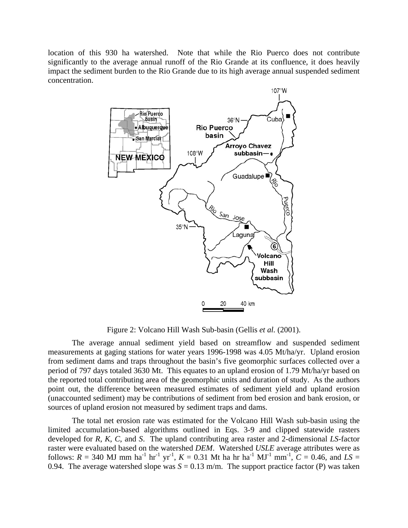location of this 930 ha watershed. Note that while the Rio Puerco does not contribute significantly to the average annual runoff of the Rio Grande at its confluence, it does heavily impact the sediment burden to the Rio Grande due to its high average annual suspended sediment concentration.



Figure 2: Volcano Hill Wash Sub-basin (Gellis *et al.* (2001).

The average annual sediment yield based on streamflow and suspended sediment measurements at gaging stations for water years 1996-1998 was 4.05 Mt/ha/yr. Upland erosion from sediment dams and traps throughout the basin's five geomorphic surfaces collected over a period of 797 days totaled 3630 Mt. This equates to an upland erosion of 1.79 Mt/ha/yr based on the reported total contributing area of the geomorphic units and duration of study. As the authors point out, the difference between measured estimates of sediment yield and upland erosion (unaccounted sediment) may be contributions of sediment from bed erosion and bank erosion, or sources of upland erosion not measured by sediment traps and dams.

The total net erosion rate was estimated for the Volcano Hill Wash sub-basin using the limited accumulation-based algorithms outlined in Eqs. 3-9 and clipped statewide rasters developed for *R*, *K*, *C*, and *S*. The upland contributing area raster and 2-dimensional *LS*-factor raster were evaluated based on the watershed *DEM*. Watershed *USLE* average attributes were as follows:  $R = 340$  MJ mm ha<sup>-1</sup> hr<sup>-1</sup> yr<sup>-1</sup>,  $K = 0.31$  Mt ha hr ha<sup>-1</sup> MJ<sup>-1</sup> mm<sup>-1</sup>,  $C = 0.46$ , and  $LS =$ 0.94. The average watershed slope was  $S = 0.13$  m/m. The support practice factor (P) was taken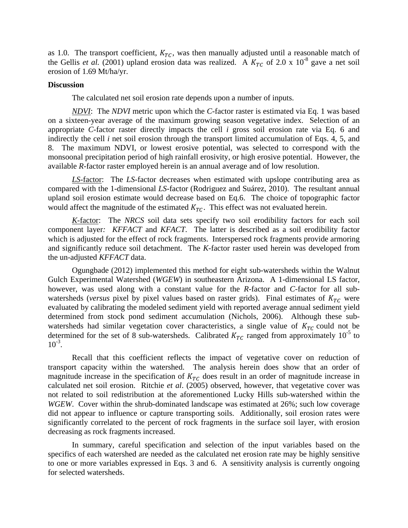as 1.0. The transport coefficient,  $K_{TC}$ , was then manually adjusted until a reasonable match of the Gellis *et al.* (2001) upland erosion data was realized. A  $K_{TC}$  of 2.0 x 10<sup>-8</sup> gave a net soil erosion of 1.69 Mt/ha/yr.

#### **Discussion**

The calculated net soil erosion rate depends upon a number of inputs.

*NDVI*: The *NDVI* metric upon which the *C*-factor raster is estimated via Eq. 1 was based on a sixteen-year average of the maximum growing season vegetative index. Selection of an appropriate *C*-factor raster directly impacts the cell *i* gross soil erosion rate via Eq. 6 and indirectly the cell *i* net soil erosion through the transport limited accumulation of Eqs. 4, 5, and 8. The maximum NDVI, or lowest erosive potential, was selected to correspond with the monsoonal precipitation period of high rainfall erosivity, or high erosive potential. However, the available *R*-factor raster employed herein is an annual average and of low resolution.

*LS*-factor: The *LS*-factor decreases when estimated with upslope contributing area as compared with the 1-dimensional *LS*-factor (Rodriguez and Suárez, 2010). The resultant annual upland soil erosion estimate would decrease based on Eq.6. The choice of topographic factor would affect the magnitude of the estimated  $K_{TC}$ . This effect was not evaluated herein.

*K*-factor: The *NRCS* soil data sets specify two soil erodibility factors for each soil component layer*: KFFACT* and *KFACT*. The latter is described as a soil erodibility factor which is adjusted for the effect of rock fragments. Interspersed rock fragments provide armoring and significantly reduce soil detachment. The *K*-factor raster used herein was developed from the un-adjusted *KFFACT* data.

Ogungbade (2012) implemented this method for eight sub-watersheds within the Walnut Gulch Experimental Watershed (*WGEW*) in southeastern Arizona. A 1-dimensional LS factor, however, was used along with a constant value for the *R*-factor and *C*-factor for all subwatersheds (*versus* pixel by pixel values based on raster grids). Final estimates of  $K_{TC}$  were evaluated by calibrating the modeled sediment yield with reported average annual sediment yield determined from stock pond sediment accumulation (Nichols, 2006). Although these subwatersheds had similar vegetation cover characteristics, a single value of  $K_{TC}$  could not be determined for the set of 8 sub-watersheds. Calibrated  $K_{TC}$  ranged from approximately 10<sup>-5</sup> to  $10^{-3}$ .

Recall that this coefficient reflects the impact of vegetative cover on reduction of transport capacity within the watershed. The analysis herein does show that an order of magnitude increase in the specification of  $K_{TC}$  does result in an order of magnitude increase in calculated net soil erosion. Ritchie *et al*. (2005) observed, however, that vegetative cover was not related to soil redistribution at the aforementioned Lucky Hills sub-watershed within the *WGEW*. Cover within the shrub-dominated landscape was estimated at 26%; such low coverage did not appear to influence or capture transporting soils. Additionally, soil erosion rates were significantly correlated to the percent of rock fragments in the surface soil layer, with erosion decreasing as rock fragments increased.

In summary, careful specification and selection of the input variables based on the specifics of each watershed are needed as the calculated net erosion rate may be highly sensitive to one or more variables expressed in Eqs. 3 and 6. A sensitivity analysis is currently ongoing for selected watersheds.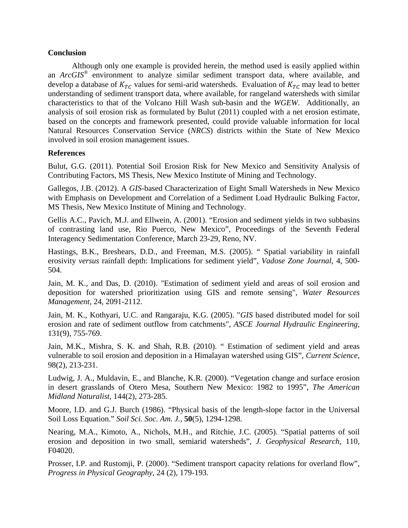# **Conclusion**

Although only one example is provided herein, the method used is easily applied within an *ArcGIS*® environment to analyze similar sediment transport data, where available, and develop a database of  $K_{TC}$  values for semi-arid watersheds. Evaluation of  $K_{TC}$  may lead to better understanding of sediment transport data, where available, for rangeland watersheds with similar characteristics to that of the Volcano Hill Wash sub-basin and the *WGEW*. Additionally, an analysis of soil erosion risk as formulated by Bulut (2011) coupled with a net erosion estimate, based on the concepts and framework presented, could provide valuable information for local Natural Resources Conservation Service (*NRCS*) districts within the State of New Mexico involved in soil erosion management issues.

# **References**

Bulut, G.G. (2011). Potential Soil Erosion Risk for New Mexico and Sensitivity Analysis of Contributing Factors, MS Thesis, New Mexico Institute of Mining and Technology.

Gallegos, J.B. (2012). A *GIS*-based Characterization of Eight Small Watersheds in New Mexico with Emphasis on Development and Correlation of a Sediment Load Hydraulic Bulking Factor, MS Thesis, New Mexico Institute of Mining and Technology.

Gellis A.C., Pavich, M.J. and Ellwein, A. (2001). "Erosion and sediment yields in two subbasins of contrasting land use, Rio Puerco, New Mexico", Proceedings of the Seventh Federal Interagency Sedimentation Conference, March 23-29, Reno, NV.

Hastings, B.K., Breshears, D.D., and Freeman, M.S. (2005). " Spatial variability in rainfall erosivity *versus* rainfall depth: Implications for sediment yield", *Vadose Zone Journal*, 4, 500- 504.

Jain, M. K., and Das, D. (2010). "Estimation of sediment yield and areas of soil erosion and deposition for watershed prioritization using GIS and remote sensing", *Water Resources Management*, 24, 2091-2112.

Jain, M. K., Kothyari, U.C. and Rangaraju, K.G. (2005). "*GIS* based distributed model for soil erosion and rate of sediment outflow from catchments", *ASCE Journal Hydraulic Engineering*, 131(9), 755-769.

Jain, M.K., Mishra, S. K. and Shah, R.B. (2010). " Estimation of sediment yield and areas vulnerable to soil erosion and deposition in a Himalayan watershed using GIS", *Current Science*, 98(2), 213-231.

Ludwig, J. A., Muldavin, E., and Blanche, K.R. (2000). "Vegetation change and surface erosion in desert grasslands of Otero Mesa, Southern New Mexico: 1982 to 1995", *The American Midland Naturalist*, 144(2), 273-285.

Moore, I.D. and G.J. Burch (1986). "Physical basis of the length-slope factor in the Universal Soil Loss Equation." *Soil Sci. Soc. Am. J.,* **50**(5), 1294-1298.

Nearing, M.A., Kimoto, A., Nichols, M.H., and Ritchie, J.C. (2005). "Spatial patterns of soil erosion and deposition in two small, semiarid watersheds", *J. Geophysical Research*, 110, F04020.

Prosser, I.P. and Rustomji, P. (2000). "Sediment transport capacity relations for overland flow", *Progress in Physical Geography*, 24 (2), 179-193.